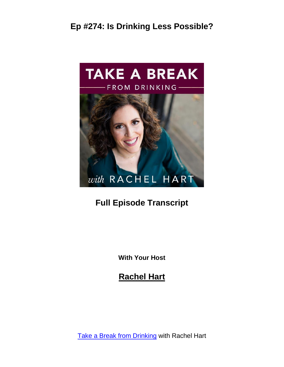

#### **Full Episode Transcript**

**With Your Host**

**Rachel Hart**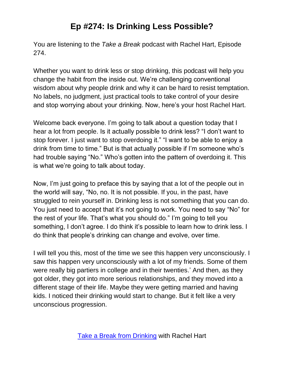You are listening to the *Take a Break* podcast with Rachel Hart, Episode 274.

Whether you want to drink less or stop drinking, this podcast will help you change the habit from the inside out. We're challenging conventional wisdom about why people drink and why it can be hard to resist temptation. No labels, no judgment, just practical tools to take control of your desire and stop worrying about your drinking. Now, here's your host Rachel Hart.

Welcome back everyone. I'm going to talk about a question today that I hear a lot from people. Is it actually possible to drink less? "I don't want to stop forever. I just want to stop overdoing it." "I want to be able to enjoy a drink from time to time." But is that actually possible if I'm someone who's had trouble saying "No." Who's gotten into the pattern of overdoing it. This is what we're going to talk about today.

Now, I'm just going to preface this by saying that a lot of the people out in the world will say, "No, no. It is not possible. If you, in the past, have struggled to rein yourself in. Drinking less is not something that you can do. You just need to accept that it's not going to work. You need to say "No" for the rest of your life. That's what you should do." I'm going to tell you something, I don't agree. I do think it's possible to learn how to drink less. I do think that people's drinking can change and evolve, over time.

I will tell you this, most of the time we see this happen very unconsciously. I saw this happen very unconsciously with a lot of my friends. Some of them were really big partiers in college and in their twenties.' And then, as they got older, they got into more serious relationships, and they moved into a different stage of their life. Maybe they were getting married and having kids. I noticed their drinking would start to change. But it felt like a very unconscious progression.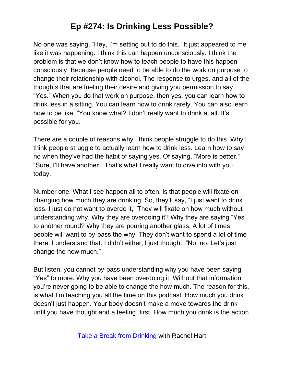No one was saying, "Hey, I'm setting out to do this." It just appeared to me like it was happening. I think this can happen unconsciously. I think the problem is that we don't know how to teach people to have this happen consciously. Because people need to be able to do the work on purpose to change their relationship with alcohol. The response to urges, and all of the thoughts that are fueling their desire and giving you permission to say "Yes." When you do that work on purpose, then yes, you can learn how to drink less in a sitting. You can learn how to drink rarely. You can also learn how to be like, "You know what? I don't really want to drink at all. It's possible for you.

There are a couple of reasons why I think people struggle to do this. Why I think people struggle to actually learn how to drink less. Learn how to say no when they've had the habit of saying yes. Of saying, "More is better." "Sure, I'll have another." That's what I really want to dive into with you today.

Number one. What I see happen all to often, is that people will fixate on changing how much they are drinking. So, they'll say, "I just want to drink less. I just do not want to overdo it," They will fixate on how much without understanding why. Why they are overdoing it? Why they are saying "Yes" to another round? Why they are pouring another glass. A lot of times people will want to by-pass the why. They don't want to spend a lot of time there. I understand that. I didn't either, I just thought, "No, no. Let's just change the how much."

But listen, you cannot by-pass understanding why you have been saying "Yes" to more. Why you have been overdoing it. Without that information, you're never going to be able to change the how much. The reason for this, is what I'm teaching you all the time on this podcast. How much you drink doesn't just happen. Your body doesn't make a move towards the drink until you have thought and a feeling, first. How much you drink is the action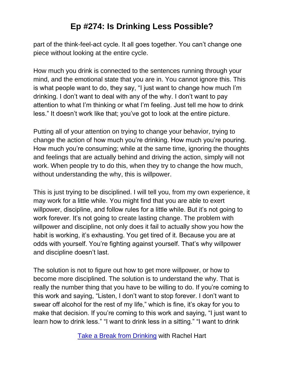part of the think-feel-act cycle. It all goes together. You can't change one piece without looking at the entire cycle.

How much you drink is connected to the sentences running through your mind, and the emotional state that you are in. You cannot ignore this. This is what people want to do, they say, "I just want to change how much I'm drinking. I don't want to deal with any of the why. I don't want to pay attention to what I'm thinking or what I'm feeling. Just tell me how to drink less." It doesn't work like that; you've got to look at the entire picture.

Putting all of your attention on trying to change your behavior, trying to change the action of how much you're drinking. How much you're pouring. How much you're consuming; while at the same time, ignoring the thoughts and feelings that are actually behind and driving the action, simply will not work. When people try to do this, when they try to change the how much, without understanding the why, this is willpower.

This is just trying to be disciplined. I will tell you, from my own experience, it may work for a little while. You might find that you are able to exert willpower, discipline, and follow rules for a little while. But it's not going to work forever. It's not going to create lasting change. The problem with willpower and discipline, not only does it fail to actually show you how the habit is working, it's exhausting. You get tired of it. Because you are at odds with yourself. You're fighting against yourself. That's why willpower and discipline doesn't last.

The solution is not to figure out how to get more willpower, or how to become more disciplined. The solution is to understand the why. That is really the number thing that you have to be willing to do. If you're coming to this work and saying, "Listen, I don't want to stop forever. I don't want to swear off alcohol for the rest of my life," which is fine, it's okay for you to make that decision. If you're coming to this work and saying, "I just want to learn how to drink less." "I want to drink less in a sitting." "I want to drink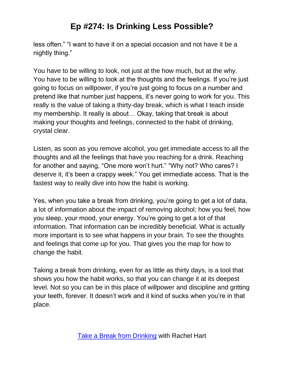less often." "I want to have it on a special occasion and not have it be a nightly thing."

You have to be willing to look, not just at the how much, but at the why. You have to be willing to look at the thoughts and the feelings. If you're just going to focus on willpower, if you're just going to focus on a number and pretend like that number just happens, it's never going to work for you. This really is the value of taking a thirty-day break, which is what I teach inside my membership. It really is about… Okay, taking that break is about making your thoughts and feelings, connected to the habit of drinking, crystal clear.

Listen, as soon as you remove alcohol, you get immediate access to all the thoughts and all the feelings that have you reaching for a drink. Reaching for another and saying, "One more won't hurt." "Why not? Who cares? I deserve it, it's been a crappy week." You get immediate access. That is the fastest way to really dive into how the habit is working.

Yes, when you take a break from drinking, you're going to get a lot of data, a lot of information about the impact of removing alcohol; how you feel, how you sleep, your mood, your energy. You're going to get a lot of that information. That information can be incredibly beneficial. What is actually more important is to see what happens in your brain. To see the thoughts and feelings that come up for you. That gives you the map for how to change the habit.

Taking a break from drinking, even for as little as thirty days, is a tool that shows you how the habit works, so that you can change it at its deepest level. Not so you can be in this place of willpower and discipline and gritting your teeth, forever. It doesn't work and it kind of sucks when you're in that place.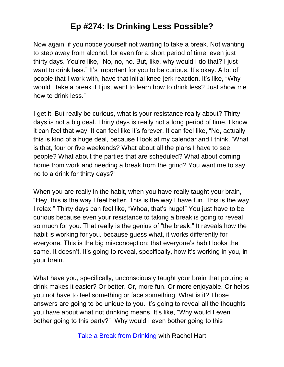Now again, if you notice yourself not wanting to take a break. Not wanting to step away from alcohol, for even for a short period of time, even just thirty days. You're like, "No, no, no. But, like, why would I do that? I just want to drink less." It's important for you to be curious. It's okay. A lot of people that I work with, have that initial knee-jerk reaction. It's like, "Why would I take a break if I just want to learn how to drink less? Just show me how to drink less."

I get it. But really be curious, what is your resistance really about? Thirty days is not a big deal. Thirty days is really not a long period of time. I know it can feel that way. It can feel like it's forever. It can feel like, "No, actually this is kind of a huge deal, because I look at my calendar and I think, 'What is that, four or five weekends? What about all the plans I have to see people? What about the parties that are scheduled? What about coming home from work and needing a break from the grind? You want me to say no to a drink for thirty days?"

When you are really in the habit, when you have really taught your brain, "Hey, this is the way I feel better. This is the way I have fun. This is the way I relax." Thirty days can feel like, "Whoa, that's huge!" You just have to be curious because even your resistance to taking a break is going to reveal so much for you. That really is the genius of "the break." It reveals how the habit is working for you. because guess what, it works differently for everyone. This is the big misconception; that everyone's habit looks the same. It doesn't. It's going to reveal, specifically, how it's working in you, in your brain.

What have you, specifically, unconsciously taught your brain that pouring a drink makes it easier? Or better. Or, more fun. Or more enjoyable. Or helps you not have to feel something or face something. What is it? Those answers are going to be unique to you. It's going to reveal all the thoughts you have about what not drinking means. It's like, "Why would I even bother going to this party?" "Why would I even bother going to this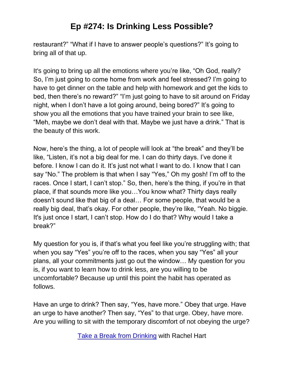restaurant?" "What if I have to answer people's questions?" It's going to bring all of that up.

It's going to bring up all the emotions where you're like, "Oh God, really? So, I'm just going to come home from work and feel stressed? I'm going to have to get dinner on the table and help with homework and get the kids to bed, then there's no reward?" "I'm just going to have to sit around on Friday night, when I don't have a lot going around, being bored?" It's going to show you all the emotions that you have trained your brain to see like, "Meh, maybe we don't deal with that. Maybe we just have a drink." That is the beauty of this work.

Now, here's the thing, a lot of people will look at "the break" and they'll be like, "Listen, it's not a big deal for me. I can do thirty days. I've done it before. I know I can do it. It's just not what I want to do. I know that I can say "No." The problem is that when I say "Yes," Oh my gosh! I'm off to the races. Once I start, I can't stop." So, then, here's the thing, if you're in that place, if that sounds more like you…You know what? Thirty days really doesn't sound like that big of a deal… For some people, that would be a really big deal, that's okay. For other people, they're like, "Yeah. No biggie. It's just once I start, I can't stop. How do I do that? Why would I take a break?"

My question for you is, if that's what you feel like you're struggling with; that when you say "Yes" you're off to the races, when you say "Yes" all your plans, all your commitments just go out the window… My question for you is, if you want to learn how to drink less, are you willing to be uncomfortable? Because up until this point the habit has operated as follows.

Have an urge to drink? Then say, "Yes, have more." Obey that urge. Have an urge to have another? Then say, "Yes" to that urge. Obey, have more. Are you willing to sit with the temporary discomfort of not obeying the urge?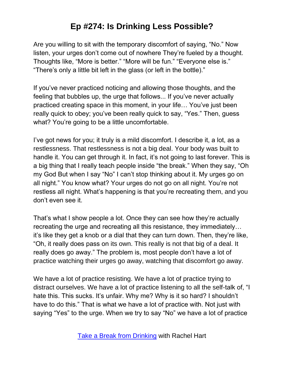Are you willing to sit with the temporary discomfort of saying, "No." Now listen, your urges don't come out of nowhere They're fueled by a thought. Thoughts like, "More is better." "More will be fun." "Everyone else is." "There's only a little bit left in the glass (or left in the bottle)."

If you've never practiced noticing and allowing those thoughts, and the feeling that bubbles up, the urge that follows... If you've never actually practiced creating space in this moment, in your life… You've just been really quick to obey; you've been really quick to say, "Yes." Then, guess what? You're going to be a little uncomfortable.

I've got news for you; it truly is a mild discomfort. I describe it, a lot, as a restlessness. That restlessness is not a big deal. Your body was built to handle it. You can get through it. In fact, it's not going to last forever. This is a big thing that I really teach people inside "the break." When they say, "Oh my God But when I say "No" I can't stop thinking about it. My urges go on all night." You know what? Your urges do not go on all night. You're not restless all night. What's happening is that you're recreating them, and you don't even see it.

That's what I show people a lot. Once they can see how they're actually recreating the urge and recreating all this resistance, they immediately… it's like they get a knob or a dial that they can turn down. Then, they're like, "Oh, it really does pass on its own. This really is not that big of a deal. It really does go away." The problem is, most people don't have a lot of practice watching their urges go away, watching that discomfort go away.

We have a lot of practice resisting. We have a lot of practice trying to distract ourselves. We have a lot of practice listening to all the self-talk of, "I hate this. This sucks. It's unfair. Why me? Why is it so hard? I shouldn't have to do this." That is what we have a lot of practice with. Not just with saying "Yes" to the urge. When we try to say "No" we have a lot of practice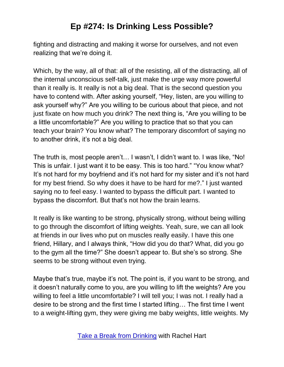fighting and distracting and making it worse for ourselves, and not even realizing that we're doing it.

Which, by the way, all of that: all of the resisting, all of the distracting, all of the internal unconscious self-talk, just make the urge way more powerful than it really is. It really is not a big deal. That is the second question you have to contend with. After asking yourself, "Hey, listen, are you willing to ask yourself why?" Are you willing to be curious about that piece, and not just fixate on how much you drink? The next thing is, "Are you willing to be a little uncomfortable?" Are you willing to practice that so that you can teach your brain? You know what? The temporary discomfort of saying no to another drink, it's not a big deal.

The truth is, most people aren't… I wasn't, I didn't want to. I was like, "No! This is unfair. I just want it to be easy. This is too hard." "You know what? It's not hard for my boyfriend and it's not hard for my sister and it's not hard for my best friend. So why does it have to be hard for me?." I just wanted saying no to feel easy. I wanted to bypass the difficult part. I wanted to bypass the discomfort. But that's not how the brain learns.

It really is like wanting to be strong, physically strong, without being willing to go through the discomfort of lifting weights. Yeah, sure, we can all look at friends in our lives who put on muscles really easily. I have this one friend, Hillary, and I always think, "How did you do that? What, did you go to the gym all the time?" She doesn't appear to. But she's so strong. She seems to be strong without even trying.

Maybe that's true, maybe it's not. The point is, if you want to be strong, and it doesn't naturally come to you, are you willing to lift the weights? Are you willing to feel a little uncomfortable? I will tell you; I was not. I really had a desire to be strong and the first time I started lifting… The first time I went to a weight-lifting gym, they were giving me baby weights, little weights. My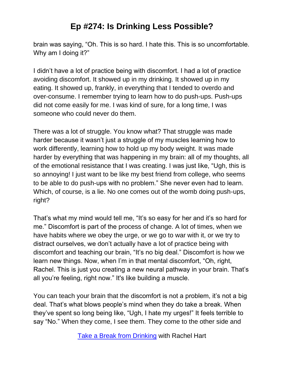brain was saying, "Oh. This is so hard. I hate this. This is so uncomfortable. Why am I doing it?"

I didn't have a lot of practice being with discomfort. I had a lot of practice avoiding discomfort. It showed up in my drinking. It showed up in my eating. It showed up, frankly, in everything that I tended to overdo and over-consume. I remember trying to learn how to do push-ups. Push-ups did not come easily for me. I was kind of sure, for a long time, I was someone who could never do them.

There was a lot of struggle. You know what? That struggle was made harder because it wasn't just a struggle of my muscles learning how to work differently, learning how to hold up my body weight. It was made harder by everything that was happening in my brain: all of my thoughts, all of the emotional resistance that I was creating. I was just like, "Ugh, this is so annoying! I just want to be like my best friend from college, who seems to be able to do push-ups with no problem." She never even had to learn. Which, of course, is a lie. No one comes out of the womb doing push-ups, right?

That's what my mind would tell me, "It's so easy for her and it's so hard for me." Discomfort is part of the process of change. A lot of times, when we have habits where we obey the urge, or we go to war with it, or we try to distract ourselves, we don't actually have a lot of practice being with discomfort and teaching our brain, "It's no big deal." Discomfort is how we learn new things. Now, when I'm in that mental discomfort, "Oh, right, Rachel. This is just you creating a new neural pathway in your brain. That's all you're feeling, right now." It's like building a muscle.

You can teach your brain that the discomfort is not a problem, it's not a big deal. That's what blows people's mind when they do take a break. When they've spent so long being like, "Ugh, I hate my urges!" It feels terrible to say "No." When they come, I see them. They come to the other side and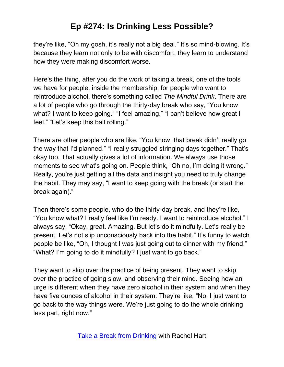they're like, "Oh my gosh, it's really not a big deal." It's so mind-blowing. It's because they learn not only to be with discomfort, they learn to understand how they were making discomfort worse.

Here's the thing, after you do the work of taking a break, one of the tools we have for people, inside the membership, for people who want to reintroduce alcohol, there's something called *The Mindful Drink*. There are a lot of people who go through the thirty-day break who say, "You know what? I want to keep going." "I feel amazing." "I can't believe how great I feel." "Let's keep this ball rolling."

There are other people who are like, "You know, that break didn't really go the way that I'd planned." "I really struggled stringing days together." That's okay too. That actually gives a lot of information. We always use those moments to see what's going on. People think, "Oh no, I'm doing it wrong." Really, you're just getting all the data and insight you need to truly change the habit. They may say, "I want to keep going with the break (or start the break again)."

Then there's some people, who do the thirty-day break, and they're like, "You know what? I really feel like I'm ready. I want to reintroduce alcohol." I always say, "Okay, great. Amazing. But let's do it mindfully. Let's really be present. Let's not slip unconsciously back into the habit." It's funny to watch people be like, "Oh, I thought I was just going out to dinner with my friend." "What? I'm going to do it mindfully? I just want to go back."

They want to skip over the practice of being present. They want to skip over the practice of going slow, and observing their mind. Seeing how an urge is different when they have zero alcohol in their system and when they have five ounces of alcohol in their system. They're like, "No, I just want to go back to the way things were. We're just going to do the whole drinking less part, right now."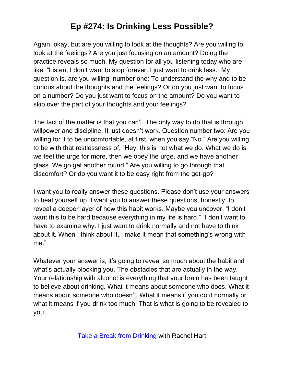Again, okay, but are you willing to look at the thoughts? Are you willing to look at the feelings? Are you just focusing on an amount? Doing the practice reveals so much. My question for all you listening today who are like, "Listen, I don't want to stop forever. I just want to drink less." My question is, are you willing, number one: To understand the why and to be curious about the thoughts and the feelings? Or do you just want to focus on a number? Do you just want to focus on the amount? Do you want to skip over the part of your thoughts and your feelings?

The fact of the matter is that you can't. The only way to do that is through willpower and discipline. It just doesn't work. Question number two: Are you willing for it to be uncomfortable, at first, when you say "No." Are you willing to be with that restlessness of, "Hey, this is not what we do. What we do is we feel the urge for more, then we obey the urge, and we have another glass. We go get another round." Are you willing to go through that discomfort? Or do you want it to be easy right from the get-go?

I want you to really answer these questions. Please don't use your answers to beat yourself up. I want you to answer these questions, honestly, to reveal a deeper layer of how this habit works. Maybe you uncover, "I don't want this to be hard because everything in my life is hard." "I don't want to have to examine why. I just want to drink normally and not have to think about it. When I think about it, I make it mean that something's wrong with me."

Whatever your answer is, it's going to reveal so much about the habit and what's actually blocking you. The obstacles that are actually in the way. Your relationship with alcohol is everything that your brain has been taught to believe about drinking. What it means about someone who does. What it means about someone who doesn't. What it means if you do it normally or what it means if you drink too much. That is what is going to be revealed to you.